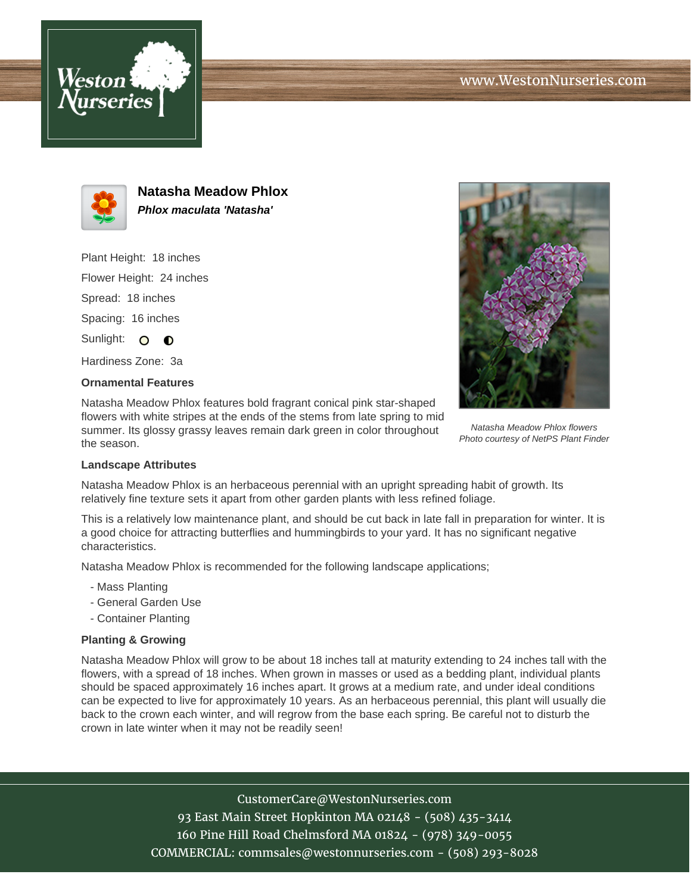



**Natasha Meadow Phlox Phlox maculata 'Natasha'**

Plant Height: 18 inches

Flower Height: 24 inches

Spread: 18 inches

Spacing: 16 inches

Sunlight: O O

Hardiness Zone: 3a

## **Ornamental Features**

Natasha Meadow Phlox features bold fragrant conical pink star-shaped flowers with white stripes at the ends of the stems from late spring to mid summer. Its glossy grassy leaves remain dark green in color throughout the season.



Natasha Meadow Phlox flowers Photo courtesy of NetPS Plant Finder

## **Landscape Attributes**

Natasha Meadow Phlox is an herbaceous perennial with an upright spreading habit of growth. Its relatively fine texture sets it apart from other garden plants with less refined foliage.

This is a relatively low maintenance plant, and should be cut back in late fall in preparation for winter. It is a good choice for attracting butterflies and hummingbirds to your yard. It has no significant negative characteristics.

Natasha Meadow Phlox is recommended for the following landscape applications;

- Mass Planting
- General Garden Use
- Container Planting

## **Planting & Growing**

Natasha Meadow Phlox will grow to be about 18 inches tall at maturity extending to 24 inches tall with the flowers, with a spread of 18 inches. When grown in masses or used as a bedding plant, individual plants should be spaced approximately 16 inches apart. It grows at a medium rate, and under ideal conditions can be expected to live for approximately 10 years. As an herbaceous perennial, this plant will usually die back to the crown each winter, and will regrow from the base each spring. Be careful not to disturb the crown in late winter when it may not be readily seen!

CustomerCare@WestonNurseries.com

93 East Main Street Hopkinton MA 02148 - (508) 435-3414 160 Pine Hill Road Chelmsford MA 01824 - (978) 349-0055 COMMERCIAL: commsales@westonnurseries.com - (508) 293-8028